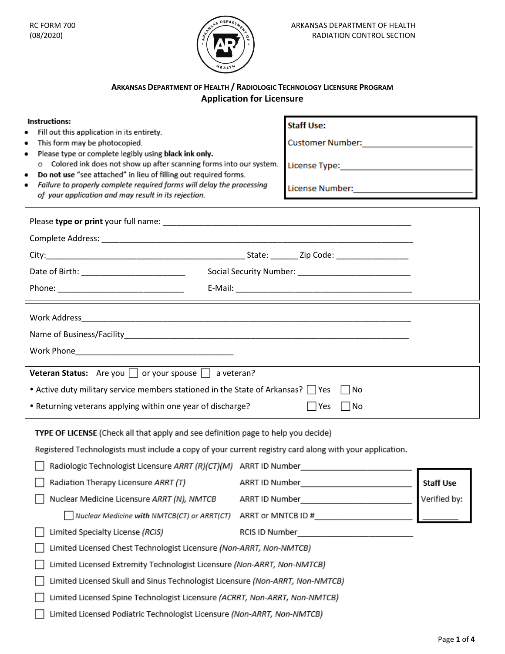

# **ARKANSAS DEPARTMENT OF HEALTH / RADIOLOGIC TECHNOLOGY LICENSURE PROGRAM Application for Licensure**

| Instructions:                                                                                                                            | <b>Staff Use:</b>                              |                  |
|------------------------------------------------------------------------------------------------------------------------------------------|------------------------------------------------|------------------|
| Fill out this application in its entirety.<br>This form may be photocopied.<br>٠                                                         | Customer Number: _________________________     |                  |
| Please type or complete legibly using black ink only.                                                                                    |                                                |                  |
| o Colored ink does not show up after scanning forms into our system.<br>Do not use "see attached" in lieu of filling out required forms. |                                                |                  |
| Failure to properly complete required forms will delay the processing<br>of your application and may result in its rejection.            | License Number: ______________________________ |                  |
|                                                                                                                                          |                                                |                  |
|                                                                                                                                          |                                                |                  |
|                                                                                                                                          |                                                |                  |
|                                                                                                                                          |                                                |                  |
|                                                                                                                                          |                                                |                  |
|                                                                                                                                          |                                                |                  |
|                                                                                                                                          |                                                |                  |
|                                                                                                                                          |                                                |                  |
|                                                                                                                                          |                                                |                  |
| <b>Veteran Status:</b> Are you $\Box$ or your spouse $\Box$ a veteran?                                                                   |                                                |                  |
| • Active duty military service members stationed in the State of Arkansas? $\Box$ Yes                                                    | No                                             |                  |
| • Returning veterans applying within one year of discharge?<br>  No<br>l lYes                                                            |                                                |                  |
| TYPE OF LICENSE (Check all that apply and see definition page to help you decide)                                                        |                                                |                  |
| Registered Technologists must include a copy of your current registry card along with your application.                                  |                                                |                  |
| Radiologic Technologist Licensure ARRT (R)(CT)(M) ARRT ID Number                                                                         |                                                |                  |
| Radiation Therapy Licensure ARRT (T)                                                                                                     | ARRT ID Number                                 | <b>Staff Use</b> |
| Nuclear Medicine Licensure ARRT (N), NMTCB                                                                                               |                                                | Verified by:     |
| Nuclear Medicine with NMTCB(CT) or ARRT(CT)                                                                                              | ARRT or MNTCB ID #                             |                  |
| Limited Specialty License (RCIS)                                                                                                         |                                                |                  |
| Limited Licensed Chest Technologist Licensure (Non-ARRT, Non-NMTCB)                                                                      |                                                |                  |
| Limited Licensed Extremity Technologist Licensure (Non-ARRT, Non-NMTCB)                                                                  |                                                |                  |
| Limited Licensed Skull and Sinus Technologist Licensure (Non-ARRT, Non-NMTCB)                                                            |                                                |                  |
| Limited Licensed Spine Technologist Licensure (ACRRT, Non-ARRT, Non-NMTCB)                                                               |                                                |                  |
| Limited Licensed Podiatric Technologist Licensure (Non-ARRT, Non-NMTCB)                                                                  |                                                |                  |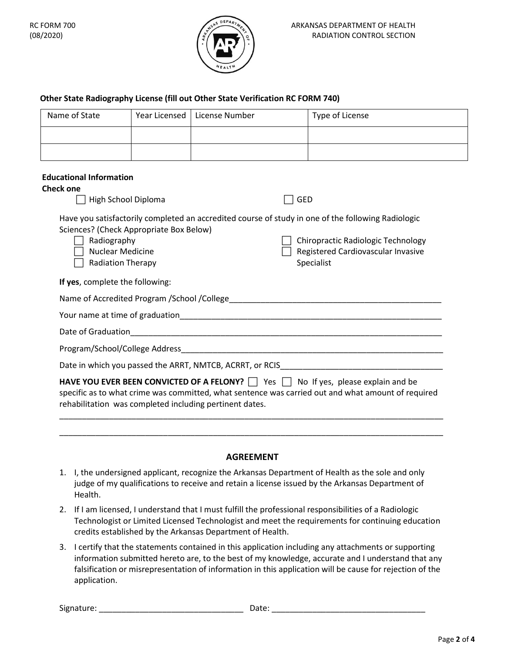

### **Other State Radiography License (fill out Other State Verification RC FORM 740)**

| Name of State | Year Licensed   License Number | Type of License |
|---------------|--------------------------------|-----------------|
|               |                                |                 |
|               |                                |                 |

#### **Educational Information**

| <b>GED</b>                                                                                                                                                                                                                                                           |
|----------------------------------------------------------------------------------------------------------------------------------------------------------------------------------------------------------------------------------------------------------------------|
| Have you satisfactorily completed an accredited course of study in one of the following Radiologic<br>Chiropractic Radiologic Technology<br>Registered Cardiovascular Invasive<br>Specialist                                                                         |
|                                                                                                                                                                                                                                                                      |
| Name of Accredited Program /School /College Name of Accredited Program /                                                                                                                                                                                             |
|                                                                                                                                                                                                                                                                      |
|                                                                                                                                                                                                                                                                      |
| Program/School/College Address and the control of the control of the control of the control of the control of                                                                                                                                                        |
| Date in which you passed the ARRT, NMTCB, ACRRT, or RCIS                                                                                                                                                                                                             |
| <b>HAVE YOU EVER BEEN CONVICTED OF A FELONY?</b> $\Box$ Yes $\Box$ No If yes, please explain and be<br>specific as to what crime was committed, what sentence was carried out and what amount of required<br>rehabilitation was completed including pertinent dates. |
|                                                                                                                                                                                                                                                                      |

### **AGREEMENT**

\_\_\_\_\_\_\_\_\_\_\_\_\_\_\_\_\_\_\_\_\_\_\_\_\_\_\_\_\_\_\_\_\_\_\_\_\_\_\_\_\_\_\_\_\_\_\_\_\_\_\_\_\_\_\_\_\_\_\_\_\_\_\_\_\_\_\_\_\_\_\_\_\_\_\_\_\_\_\_\_\_\_\_\_\_

- 1. I, the undersigned applicant, recognize the Arkansas Department of Health as the sole and only judge of my qualifications to receive and retain a license issued by the Arkansas Department of Health.
- 2. If I am licensed, I understand that I must fulfill the professional responsibilities of a Radiologic Technologist or Limited Licensed Technologist and meet the requirements for continuing education credits established by the Arkansas Department of Health.
- 3. I certify that the statements contained in this application including any attachments or supporting information submitted hereto are, to the best of my knowledge, accurate and I understand that any falsification or misrepresentation of information in this application will be cause for rejection of the application.

Signature: \_\_\_\_\_\_\_\_\_\_\_\_\_\_\_\_\_\_\_\_\_\_\_\_\_\_\_\_\_\_\_\_ Date: \_\_\_\_\_\_\_\_\_\_\_\_\_\_\_\_\_\_\_\_\_\_\_\_\_\_\_\_\_\_\_\_\_\_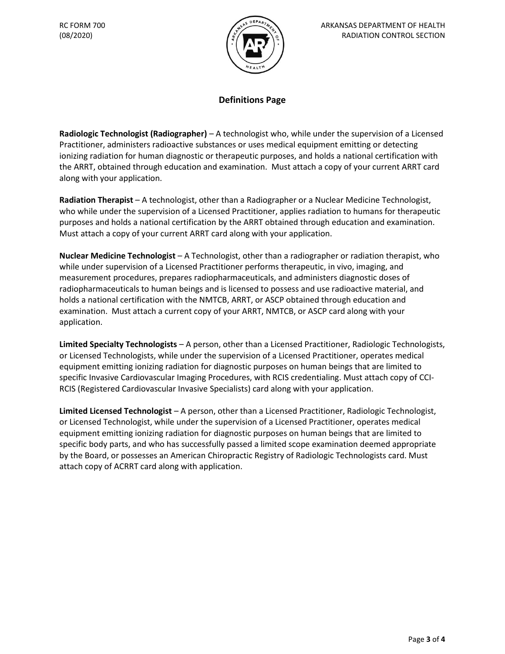

## **Definitions Page**

**Radiologic Technologist (Radiographer)** – A technologist who, while under the supervision of a Licensed Practitioner, administers radioactive substances or uses medical equipment emitting or detecting ionizing radiation for human diagnostic or therapeutic purposes, and holds a national certification with the ARRT, obtained through education and examination. Must attach a copy of your current ARRT card along with your application.

**Radiation Therapist** – A technologist, other than a Radiographer or a Nuclear Medicine Technologist, who while under the supervision of a Licensed Practitioner, applies radiation to humans for therapeutic purposes and holds a national certification by the ARRT obtained through education and examination. Must attach a copy of your current ARRT card along with your application.

**Nuclear Medicine Technologist** – A Technologist, other than a radiographer or radiation therapist, who while under supervision of a Licensed Practitioner performs therapeutic, in vivo, imaging, and measurement procedures, prepares radiopharmaceuticals, and administers diagnostic doses of radiopharmaceuticals to human beings and is licensed to possess and use radioactive material, and holds a national certification with the NMTCB, ARRT, or ASCP obtained through education and examination. Must attach a current copy of your ARRT, NMTCB, or ASCP card along with your application.

**Limited Specialty Technologists** – A person, other than a Licensed Practitioner, Radiologic Technologists, or Licensed Technologists, while under the supervision of a Licensed Practitioner, operates medical equipment emitting ionizing radiation for diagnostic purposes on human beings that are limited to specific Invasive Cardiovascular Imaging Procedures, with RCIS credentialing. Must attach copy of CCI-RCIS (Registered Cardiovascular Invasive Specialists) card along with your application.

**Limited Licensed Technologist** – A person, other than a Licensed Practitioner, Radiologic Technologist, or Licensed Technologist, while under the supervision of a Licensed Practitioner, operates medical equipment emitting ionizing radiation for diagnostic purposes on human beings that are limited to specific body parts, and who has successfully passed a limited scope examination deemed appropriate by the Board, or possesses an American Chiropractic Registry of Radiologic Technologists card. Must attach copy of ACRRT card along with application.